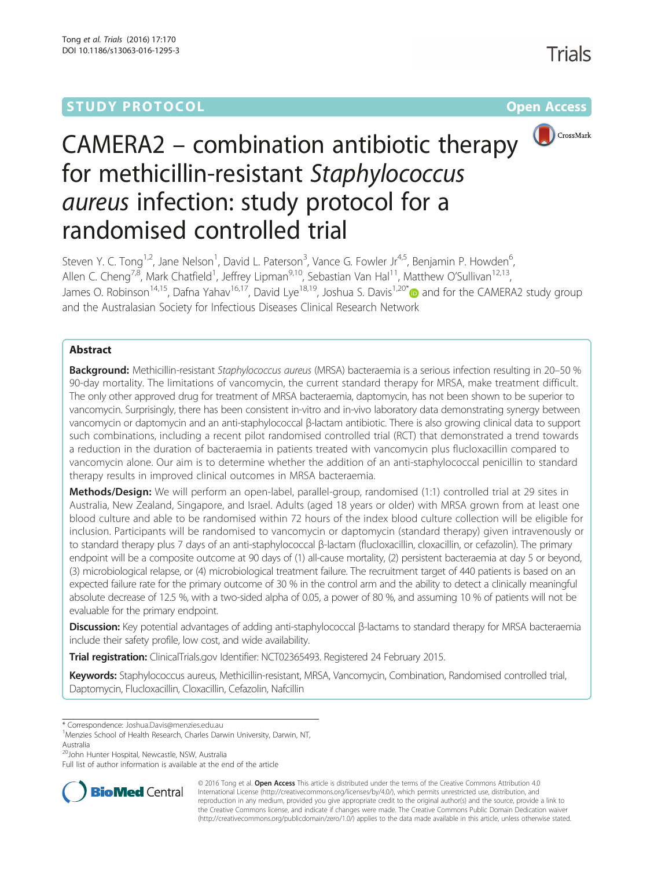# **STUDY PROTOCOL CONSUMING THE RESERVE ACCESS**

Trials



# CAMERA2 – combination antibiotic therapy for methicillin-resistant Staphylococcus aureus infection: study protocol for a randomised controlled trial

Steven Y. C. Tong<sup>1,2</sup>, Jane Nelson<sup>1</sup>, David L. Paterson<sup>3</sup>, Vance G. Fowler Jr<sup>4,5</sup>, Benjamin P. Howden<sup>6</sup> , Allen C. Cheng<sup>7,8</sup>, Mark Chatfield<sup>1</sup>, Jeffrey Lipman<sup>9,10</sup>, Sebastian Van Hal<sup>11</sup>, Matthew O'Sullivan<sup>12,13</sup>, James O. Robinson<sup>14,15</sup>, Dafna Yahav<sup>16,17</sup>, David Lye<sup>18,19</sup>, Joshua S. Davis<sup>1,20\*</sup> and for the CAMERA2 study group and the Australasian Society for Infectious Diseases Clinical Research Network

# Abstract

Background: Methicillin-resistant Staphylococcus aureus (MRSA) bacteraemia is a serious infection resulting in 20-50 % 90-day mortality. The limitations of vancomycin, the current standard therapy for MRSA, make treatment difficult. The only other approved drug for treatment of MRSA bacteraemia, daptomycin, has not been shown to be superior to vancomycin. Surprisingly, there has been consistent in-vitro and in-vivo laboratory data demonstrating synergy between vancomycin or daptomycin and an anti-staphylococcal β-lactam antibiotic. There is also growing clinical data to support such combinations, including a recent pilot randomised controlled trial (RCT) that demonstrated a trend towards a reduction in the duration of bacteraemia in patients treated with vancomycin plus flucloxacillin compared to vancomycin alone. Our aim is to determine whether the addition of an anti-staphylococcal penicillin to standard therapy results in improved clinical outcomes in MRSA bacteraemia.

Methods/Design: We will perform an open-label, parallel-group, randomised (1:1) controlled trial at 29 sites in Australia, New Zealand, Singapore, and Israel. Adults (aged 18 years or older) with MRSA grown from at least one blood culture and able to be randomised within 72 hours of the index blood culture collection will be eligible for inclusion. Participants will be randomised to vancomycin or daptomycin (standard therapy) given intravenously or to standard therapy plus 7 days of an anti-staphylococcal β-lactam (flucloxacillin, cloxacillin, or cefazolin). The primary endpoint will be a composite outcome at 90 days of (1) all-cause mortality, (2) persistent bacteraemia at day 5 or beyond, (3) microbiological relapse, or (4) microbiological treatment failure. The recruitment target of 440 patients is based on an expected failure rate for the primary outcome of 30 % in the control arm and the ability to detect a clinically meaningful absolute decrease of 12.5 %, with a two-sided alpha of 0.05, a power of 80 %, and assuming 10 % of patients will not be evaluable for the primary endpoint.

Discussion: Key potential advantages of adding anti-staphylococcal β-lactams to standard therapy for MRSA bacteraemia include their safety profile, low cost, and wide availability.

Trial registration: ClinicalTrials.gov Identifier: [NCT02365493.](http://www.menzies.edu.au) Registered 24 February 2015.

Keywords: Staphylococcus aureus, Methicillin-resistant, MRSA, Vancomycin, Combination, Randomised controlled trial, Daptomycin, Flucloxacillin, Cloxacillin, Cefazolin, Nafcillin

20John Hunter Hospital, Newcastle, NSW, Australia

Full list of author information is available at the end of the article



© 2016 Tong et al. Open Access This article is distributed under the terms of the Creative Commons Attribution 4.0 International License [\(http://creativecommons.org/licenses/by/4.0/](http://creativecommons.org/licenses/by/4.0/)), which permits unrestricted use, distribution, and reproduction in any medium, provided you give appropriate credit to the original author(s) and the source, provide a link to the Creative Commons license, and indicate if changes were made. The Creative Commons Public Domain Dedication waiver [\(http://creativecommons.org/publicdomain/zero/1.0/](http://creativecommons.org/publicdomain/zero/1.0/)) applies to the data made available in this article, unless otherwise stated.

<sup>\*</sup> Correspondence: [Joshua.Davis@menzies.edu.au](mailto:Joshua.Davis@menzies.edu.au) <sup>1</sup>

<sup>&</sup>lt;sup>1</sup>Menzies School of Health Research, Charles Darwin University, Darwin, NT, Australia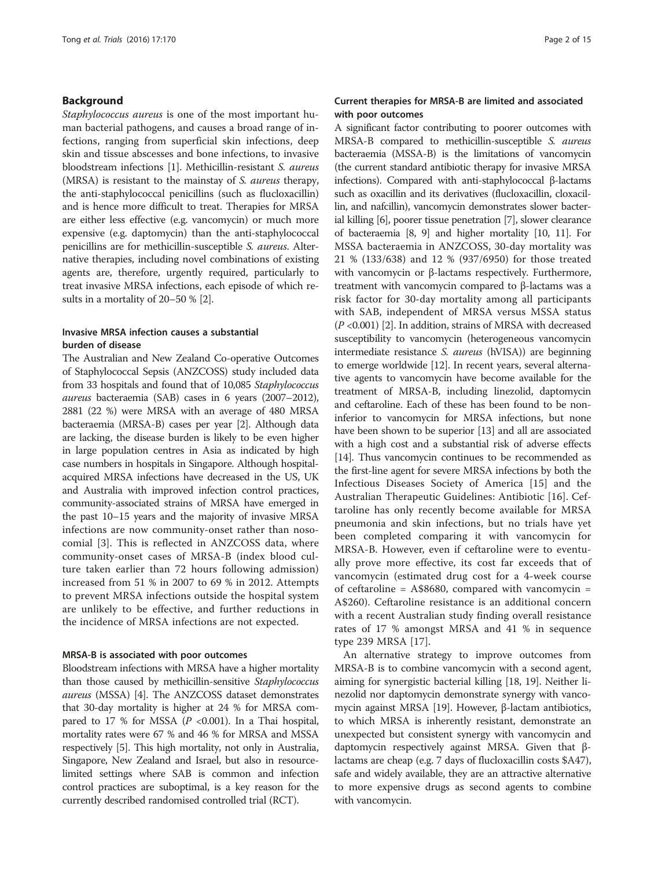# Background

Staphylococcus aureus is one of the most important human bacterial pathogens, and causes a broad range of infections, ranging from superficial skin infections, deep skin and tissue abscesses and bone infections, to invasive bloodstream infections [[1](#page-13-0)]. Methicillin-resistant S. aureus (MRSA) is resistant to the mainstay of S. aureus therapy, the anti-staphylococcal penicillins (such as flucloxacillin) and is hence more difficult to treat. Therapies for MRSA are either less effective (e.g. vancomycin) or much more expensive (e.g. daptomycin) than the anti-staphylococcal penicillins are for methicillin-susceptible S. aureus. Alternative therapies, including novel combinations of existing agents are, therefore, urgently required, particularly to treat invasive MRSA infections, each episode of which results in a mortality of 20–50 % [[2\]](#page-13-0).

# Invasive MRSA infection causes a substantial burden of disease

The Australian and New Zealand Co-operative Outcomes of Staphylococcal Sepsis (ANZCOSS) study included data from 33 hospitals and found that of 10,085 Staphylococcus aureus bacteraemia (SAB) cases in 6 years (2007–2012), 2881 (22 %) were MRSA with an average of 480 MRSA bacteraemia (MRSA-B) cases per year [[2](#page-13-0)]. Although data are lacking, the disease burden is likely to be even higher in large population centres in Asia as indicated by high case numbers in hospitals in Singapore. Although hospitalacquired MRSA infections have decreased in the US, UK and Australia with improved infection control practices, community-associated strains of MRSA have emerged in the past 10–15 years and the majority of invasive MRSA infections are now community-onset rather than nosocomial [[3\]](#page-13-0). This is reflected in ANZCOSS data, where community-onset cases of MRSA-B (index blood culture taken earlier than 72 hours following admission) increased from 51 % in 2007 to 69 % in 2012. Attempts to prevent MRSA infections outside the hospital system are unlikely to be effective, and further reductions in the incidence of MRSA infections are not expected.

### MRSA-B is associated with poor outcomes

Bloodstream infections with MRSA have a higher mortality than those caused by methicillin-sensitive Staphylococcus aureus (MSSA) [\[4](#page-13-0)]. The ANZCOSS dataset demonstrates that 30-day mortality is higher at 24 % for MRSA compared to 17 % for MSSA ( $P$  <0.001). In a Thai hospital, mortality rates were 67 % and 46 % for MRSA and MSSA respectively [[5\]](#page-13-0). This high mortality, not only in Australia, Singapore, New Zealand and Israel, but also in resourcelimited settings where SAB is common and infection control practices are suboptimal, is a key reason for the currently described randomised controlled trial (RCT).

# Current therapies for MRSA-B are limited and associated with poor outcomes

A significant factor contributing to poorer outcomes with MRSA-B compared to methicillin-susceptible S. aureus bacteraemia (MSSA-B) is the limitations of vancomycin (the current standard antibiotic therapy for invasive MRSA infections). Compared with anti-staphylococcal β-lactams such as oxacillin and its derivatives (flucloxacillin, cloxacillin, and nafcillin), vancomycin demonstrates slower bacterial killing [\[6\]](#page-13-0), poorer tissue penetration [[7\]](#page-13-0), slower clearance of bacteraemia [\[8](#page-13-0), [9\]](#page-13-0) and higher mortality [\[10, 11](#page-13-0)]. For MSSA bacteraemia in ANZCOSS, 30-day mortality was 21 % (133/638) and 12 % (937/6950) for those treated with vancomycin or β-lactams respectively. Furthermore, treatment with vancomycin compared to β-lactams was a risk factor for 30-day mortality among all participants with SAB, independent of MRSA versus MSSA status  $(P<0.001)$  [[2\]](#page-13-0). In addition, strains of MRSA with decreased susceptibility to vancomycin (heterogeneous vancomycin intermediate resistance S. aureus (hVISA)) are beginning to emerge worldwide [\[12](#page-13-0)]. In recent years, several alternative agents to vancomycin have become available for the treatment of MRSA-B, including linezolid, daptomycin and ceftaroline. Each of these has been found to be noninferior to vancomycin for MRSA infections, but none have been shown to be superior [\[13\]](#page-13-0) and all are associated with a high cost and a substantial risk of adverse effects [[14](#page-13-0)]. Thus vancomycin continues to be recommended as the first-line agent for severe MRSA infections by both the Infectious Diseases Society of America [[15\]](#page-13-0) and the Australian Therapeutic Guidelines: Antibiotic [\[16](#page-13-0)]. Ceftaroline has only recently become available for MRSA pneumonia and skin infections, but no trials have yet been completed comparing it with vancomycin for MRSA-B. However, even if ceftaroline were to eventually prove more effective, its cost far exceeds that of vancomycin (estimated drug cost for a 4-week course of ceftaroline = A\$8680, compared with vancomycin = A\$260). Ceftaroline resistance is an additional concern with a recent Australian study finding overall resistance rates of 17 % amongst MRSA and 41 % in sequence type 239 MRSA [[17\]](#page-13-0).

An alternative strategy to improve outcomes from MRSA-B is to combine vancomycin with a second agent, aiming for synergistic bacterial killing [\[18, 19](#page-13-0)]. Neither linezolid nor daptomycin demonstrate synergy with vancomycin against MRSA [\[19\]](#page-13-0). However, β-lactam antibiotics, to which MRSA is inherently resistant, demonstrate an unexpected but consistent synergy with vancomycin and daptomycin respectively against MRSA. Given that βlactams are cheap (e.g. 7 days of flucloxacillin costs \$A47), safe and widely available, they are an attractive alternative to more expensive drugs as second agents to combine with vancomycin.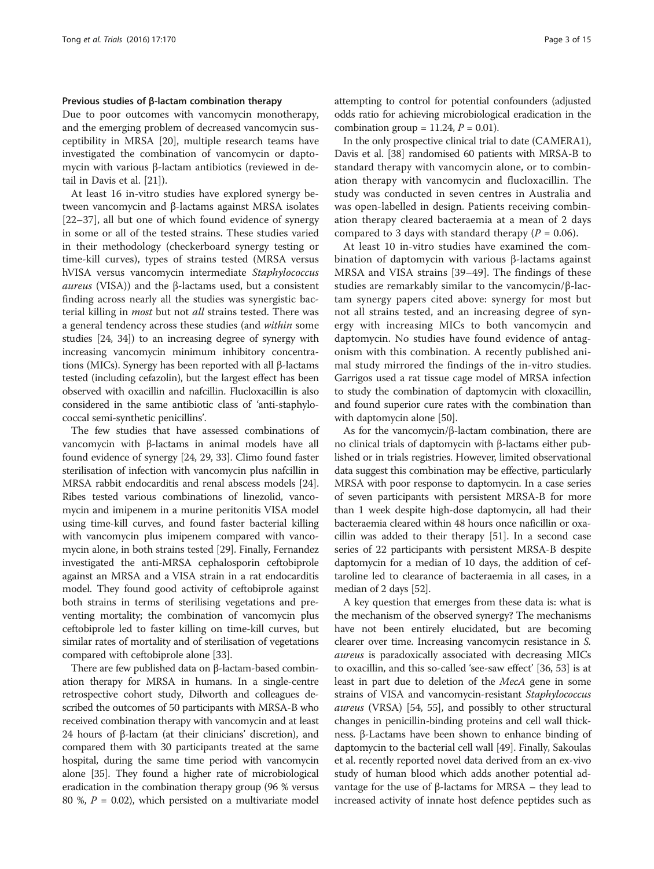### Previous studies of β-lactam combination therapy

Due to poor outcomes with vancomycin monotherapy, and the emerging problem of decreased vancomycin susceptibility in MRSA [[20\]](#page-13-0), multiple research teams have investigated the combination of vancomycin or daptomycin with various β-lactam antibiotics (reviewed in detail in Davis et al. [\[21\]](#page-13-0)).

At least 16 in-vitro studies have explored synergy between vancomycin and β-lactams against MRSA isolates [[22](#page-13-0)–[37](#page-14-0)], all but one of which found evidence of synergy in some or all of the tested strains. These studies varied in their methodology (checkerboard synergy testing or time-kill curves), types of strains tested (MRSA versus hVISA versus vancomycin intermediate Staphylococcus aureus (VISA)) and the β-lactams used, but a consistent finding across nearly all the studies was synergistic bacterial killing in most but not all strains tested. There was a general tendency across these studies (and within some studies [\[24,](#page-13-0) [34\]](#page-14-0)) to an increasing degree of synergy with increasing vancomycin minimum inhibitory concentrations (MICs). Synergy has been reported with all β-lactams tested (including cefazolin), but the largest effect has been observed with oxacillin and nafcillin. Flucloxacillin is also considered in the same antibiotic class of 'anti-staphylococcal semi-synthetic penicillins'.

The few studies that have assessed combinations of vancomycin with β-lactams in animal models have all found evidence of synergy [[24](#page-13-0), [29,](#page-13-0) [33\]](#page-14-0). Climo found faster sterilisation of infection with vancomycin plus nafcillin in MRSA rabbit endocarditis and renal abscess models [[24](#page-13-0)]. Ribes tested various combinations of linezolid, vancomycin and imipenem in a murine peritonitis VISA model using time-kill curves, and found faster bacterial killing with vancomycin plus imipenem compared with vancomycin alone, in both strains tested [\[29\]](#page-13-0). Finally, Fernandez investigated the anti-MRSA cephalosporin ceftobiprole against an MRSA and a VISA strain in a rat endocarditis model. They found good activity of ceftobiprole against both strains in terms of sterilising vegetations and preventing mortality; the combination of vancomycin plus ceftobiprole led to faster killing on time-kill curves, but similar rates of mortality and of sterilisation of vegetations compared with ceftobiprole alone [[33](#page-14-0)].

There are few published data on β-lactam-based combination therapy for MRSA in humans. In a single-centre retrospective cohort study, Dilworth and colleagues described the outcomes of 50 participants with MRSA-B who received combination therapy with vancomycin and at least 24 hours of β-lactam (at their clinicians' discretion), and compared them with 30 participants treated at the same hospital, during the same time period with vancomycin alone [[35](#page-14-0)]. They found a higher rate of microbiological eradication in the combination therapy group (96 % versus 80 %,  $P = 0.02$ ), which persisted on a multivariate model attempting to control for potential confounders (adjusted odds ratio for achieving microbiological eradication in the combination group = 11.24,  $P = 0.01$ ).

In the only prospective clinical trial to date (CAMERA1), Davis et al. [\[38\]](#page-14-0) randomised 60 patients with MRSA-B to standard therapy with vancomycin alone, or to combination therapy with vancomycin and flucloxacillin. The study was conducted in seven centres in Australia and was open-labelled in design. Patients receiving combination therapy cleared bacteraemia at a mean of 2 days compared to 3 days with standard therapy ( $P = 0.06$ ).

At least 10 in-vitro studies have examined the combination of daptomycin with various β-lactams against MRSA and VISA strains [\[39](#page-14-0)–[49](#page-14-0)]. The findings of these studies are remarkably similar to the vancomycin/β-lactam synergy papers cited above: synergy for most but not all strains tested, and an increasing degree of synergy with increasing MICs to both vancomycin and daptomycin. No studies have found evidence of antagonism with this combination. A recently published animal study mirrored the findings of the in-vitro studies. Garrigos used a rat tissue cage model of MRSA infection to study the combination of daptomycin with cloxacillin, and found superior cure rates with the combination than with daptomycin alone [[50\]](#page-14-0).

As for the vancomycin/β-lactam combination, there are no clinical trials of daptomycin with β-lactams either published or in trials registries. However, limited observational data suggest this combination may be effective, particularly MRSA with poor response to daptomycin. In a case series of seven participants with persistent MRSA-B for more than 1 week despite high-dose daptomycin, all had their bacteraemia cleared within 48 hours once naficillin or oxacillin was added to their therapy [[51](#page-14-0)]. In a second case series of 22 participants with persistent MRSA-B despite daptomycin for a median of 10 days, the addition of ceftaroline led to clearance of bacteraemia in all cases, in a median of 2 days [[52](#page-14-0)].

A key question that emerges from these data is: what is the mechanism of the observed synergy? The mechanisms have not been entirely elucidated, but are becoming clearer over time. Increasing vancomycin resistance in S. aureus is paradoxically associated with decreasing MICs to oxacillin, and this so-called 'see-saw effect' [[36](#page-14-0), [53](#page-14-0)] is at least in part due to deletion of the MecA gene in some strains of VISA and vancomycin-resistant Staphylococcus aureus (VRSA) [\[54](#page-14-0), [55\]](#page-14-0), and possibly to other structural changes in penicillin-binding proteins and cell wall thickness. β-Lactams have been shown to enhance binding of daptomycin to the bacterial cell wall [\[49\]](#page-14-0). Finally, Sakoulas et al. recently reported novel data derived from an ex-vivo study of human blood which adds another potential advantage for the use of β-lactams for MRSA – they lead to increased activity of innate host defence peptides such as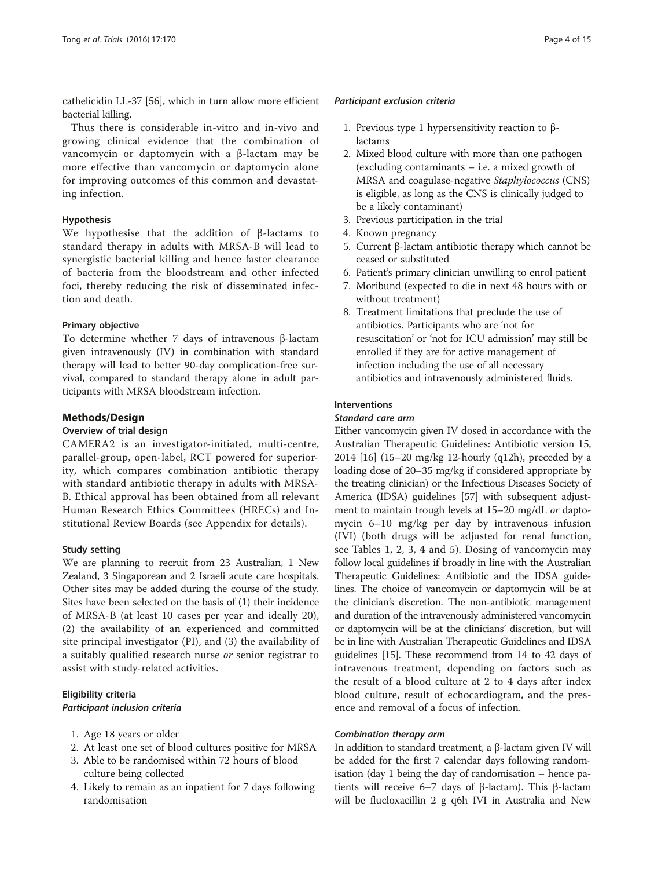cathelicidin LL-37 [\[56](#page-14-0)], which in turn allow more efficient bacterial killing.

Thus there is considerable in-vitro and in-vivo and growing clinical evidence that the combination of vancomycin or daptomycin with a β-lactam may be more effective than vancomycin or daptomycin alone for improving outcomes of this common and devastating infection.

# Hypothesis

We hypothesise that the addition of β-lactams to standard therapy in adults with MRSA-B will lead to synergistic bacterial killing and hence faster clearance of bacteria from the bloodstream and other infected foci, thereby reducing the risk of disseminated infection and death.

# Primary objective

To determine whether 7 days of intravenous β-lactam given intravenously (IV) in combination with standard therapy will lead to better 90-day complication-free survival, compared to standard therapy alone in adult participants with MRSA bloodstream infection.

# Methods/Design

### Overview of trial design

CAMERA2 is an investigator-initiated, multi-centre, parallel-group, open-label, RCT powered for superiority, which compares combination antibiotic therapy with standard antibiotic therapy in adults with MRSA-B. Ethical approval has been obtained from all relevant Human Research Ethics Committees (HRECs) and Institutional Review Boards (see [Appendix](#page-12-0) for details).

### Study setting

We are planning to recruit from 23 Australian, 1 New Zealand, 3 Singaporean and 2 Israeli acute care hospitals. Other sites may be added during the course of the study. Sites have been selected on the basis of (1) their incidence of MRSA-B (at least 10 cases per year and ideally 20), (2) the availability of an experienced and committed site principal investigator (PI), and (3) the availability of a suitably qualified research nurse or senior registrar to assist with study-related activities.

### Eligibility criteria

### Participant inclusion criteria

- 1. Age 18 years or older
- 2. At least one set of blood cultures positive for MRSA
- 3. Able to be randomised within 72 hours of blood culture being collected
- 4. Likely to remain as an inpatient for 7 days following randomisation

### Participant exclusion criteria

- 1. Previous type 1 hypersensitivity reaction to βlactams
- 2. Mixed blood culture with more than one pathogen (excluding contaminants – i.e. a mixed growth of MRSA and coagulase-negative Staphylococcus (CNS) is eligible, as long as the CNS is clinically judged to be a likely contaminant)
- 3. Previous participation in the trial
- 4. Known pregnancy
- 5. Current β-lactam antibiotic therapy which cannot be ceased or substituted
- 6. Patient's primary clinician unwilling to enrol patient
- 7. Moribund (expected to die in next 48 hours with or without treatment)
- 8. Treatment limitations that preclude the use of antibiotics. Participants who are 'not for resuscitation' or 'not for ICU admission' may still be enrolled if they are for active management of infection including the use of all necessary antibiotics and intravenously administered fluids.

### Interventions

### Standard care arm

Either vancomycin given IV dosed in accordance with the Australian Therapeutic Guidelines: Antibiotic version 15, 2014 [[16](#page-13-0)] (15–20 mg/kg 12-hourly (q12h), preceded by a loading dose of 20–35 mg/kg if considered appropriate by the treating clinician) or the Infectious Diseases Society of America (IDSA) guidelines [\[57\]](#page-14-0) with subsequent adjustment to maintain trough levels at 15–20 mg/dL or daptomycin 6–10 mg/kg per day by intravenous infusion (IVI) (both drugs will be adjusted for renal function, see Tables [1](#page-4-0), [2](#page-4-0), [3,](#page-4-0) [4](#page-5-0) and [5\)](#page-5-0). Dosing of vancomycin may follow local guidelines if broadly in line with the Australian Therapeutic Guidelines: Antibiotic and the IDSA guidelines. The choice of vancomycin or daptomycin will be at the clinician's discretion. The non-antibiotic management and duration of the intravenously administered vancomycin or daptomycin will be at the clinicians' discretion, but will be in line with Australian Therapeutic Guidelines and IDSA guidelines [[15](#page-13-0)]. These recommend from 14 to 42 days of intravenous treatment, depending on factors such as the result of a blood culture at 2 to 4 days after index blood culture, result of echocardiogram, and the presence and removal of a focus of infection.

### Combination therapy arm

In addition to standard treatment, a β-lactam given IV will be added for the first 7 calendar days following randomisation (day 1 being the day of randomisation – hence patients will receive 6–7 days of β-lactam). This β-lactam will be flucloxacillin 2 g q6h IVI in Australia and New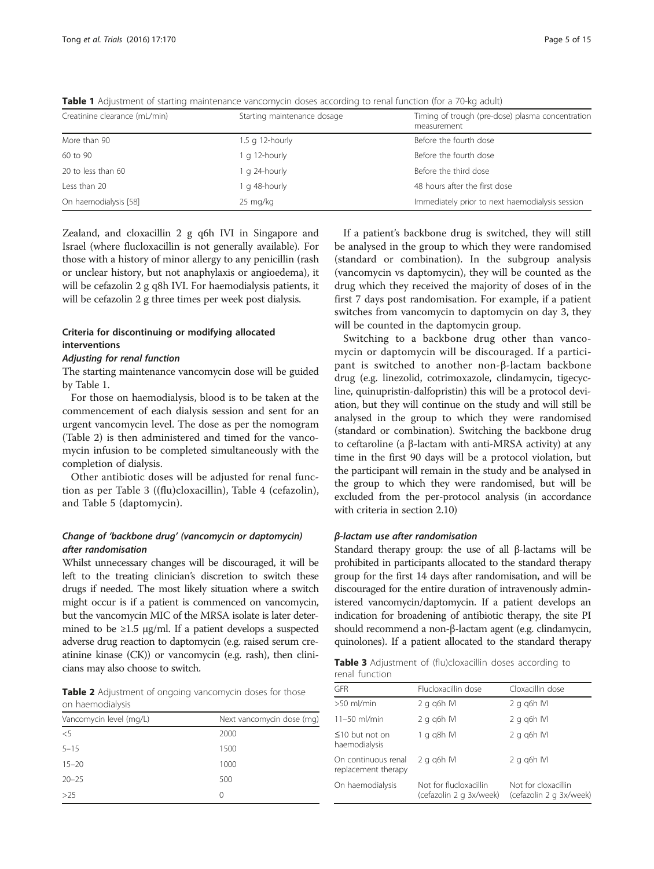| Creatinine clearance (mL/min) | Starting maintenance dosage | Timing of trough (pre-dose) plasma concentration<br>measurement |
|-------------------------------|-----------------------------|-----------------------------------------------------------------|
| More than 90                  | 1.5 g 12-hourly             | Before the fourth dose                                          |
| 60 to 90                      | 1 g 12-hourly               | Before the fourth dose                                          |
| 20 to less than 60            | 1 g 24-hourly               | Before the third dose                                           |
| Less than 20                  | 1 g 48-hourly               | 48 hours after the first dose                                   |
| On haemodialysis [58]         | 25 mg/kg                    | Immediately prior to next haemodialysis session                 |

<span id="page-4-0"></span>Table 1 Adjustment of starting maintenance vancomycin doses according to renal function (for a 70-kg adult)

Zealand, and cloxacillin 2 g q6h IVI in Singapore and Israel (where flucloxacillin is not generally available). For those with a history of minor allergy to any penicillin (rash or unclear history, but not anaphylaxis or angioedema), it will be cefazolin 2 g q8h IVI. For haemodialysis patients, it will be cefazolin 2 g three times per week post dialysis.

# Criteria for discontinuing or modifying allocated interventions

### Adjusting for renal function

The starting maintenance vancomycin dose will be guided by Table 1.

For those on haemodialysis, blood is to be taken at the commencement of each dialysis session and sent for an urgent vancomycin level. The dose as per the nomogram (Table 2) is then administered and timed for the vancomycin infusion to be completed simultaneously with the completion of dialysis.

Other antibiotic doses will be adjusted for renal function as per Table 3 ((flu)cloxacillin), Table [4](#page-5-0) (cefazolin), and Table [5](#page-5-0) (daptomycin).

# Change of 'backbone drug' (vancomycin or daptomycin) after randomisation

Whilst unnecessary changes will be discouraged, it will be left to the treating clinician's discretion to switch these drugs if needed. The most likely situation where a switch might occur is if a patient is commenced on vancomycin, but the vancomycin MIC of the MRSA isolate is later determined to be ≥1.5 μg/ml. If a patient develops a suspected adverse drug reaction to daptomycin (e.g. raised serum creatinine kinase (CK)) or vancomycin (e.g. rash), then clinicians may also choose to switch.

Table 2 Adjustment of ongoing vancomycin doses for those on haemodialysis

| Vancomycin level (mg/L) | Next vancomycin dose (mg) |
|-------------------------|---------------------------|
| $<$ 5                   | 2000                      |
| $5 - 15$                | 1500                      |
| $15 - 20$               | 1000                      |
| $20 - 25$               | 500                       |
| >25                     | 0                         |

If a patient's backbone drug is switched, they will still be analysed in the group to which they were randomised (standard or combination). In the subgroup analysis (vancomycin vs daptomycin), they will be counted as the drug which they received the majority of doses of in the first 7 days post randomisation. For example, if a patient switches from vancomycin to daptomycin on day 3, they will be counted in the daptomycin group.

Switching to a backbone drug other than vancomycin or daptomycin will be discouraged. If a participant is switched to another non-β-lactam backbone drug (e.g. linezolid, cotrimoxazole, clindamycin, tigecycline, quinupristin-dalfopristin) this will be a protocol deviation, but they will continue on the study and will still be analysed in the group to which they were randomised (standard or combination). Switching the backbone drug to ceftaroline (a β-lactam with anti-MRSA activity) at any time in the first 90 days will be a protocol violation, but the participant will remain in the study and be analysed in the group to which they were randomised, but will be excluded from the per-protocol analysis (in accordance with criteria in section 2.10)

### β-lactam use after randomisation

Standard therapy group: the use of all β-lactams will be prohibited in participants allocated to the standard therapy group for the first 14 days after randomisation, and will be discouraged for the entire duration of intravenously administered vancomycin/daptomycin. If a patient develops an indication for broadening of antibiotic therapy, the site PI should recommend a non-β-lactam agent (e.g. clindamycin, quinolones). If a patient allocated to the standard therapy

Table 3 Adjustment of (flu)cloxacillin doses according to renal function

| <b>GFR</b>                                 | Flucloxacillin dose                               | Cloxacillin dose                               |
|--------------------------------------------|---------------------------------------------------|------------------------------------------------|
| >50 ml/min                                 | 2 g g6h IVI                                       | 2 g q6h IVI                                    |
| $11-50$ ml/min                             | 2 g g6h IVI                                       | 2 g g6h M                                      |
| $\leq$ 10 but not on<br>haemodialysis      | 1 g g8h IVI                                       | 2 g g6h M                                      |
| On continuous renal<br>replacement therapy | $2$ g g6h IVI                                     | 2 g g6h IVI                                    |
| On haemodialysis                           | Not for flucloxacillin<br>(cefazolin 2 g 3x/week) | Not for cloxacillin<br>(cefazolin 2 g 3x/week) |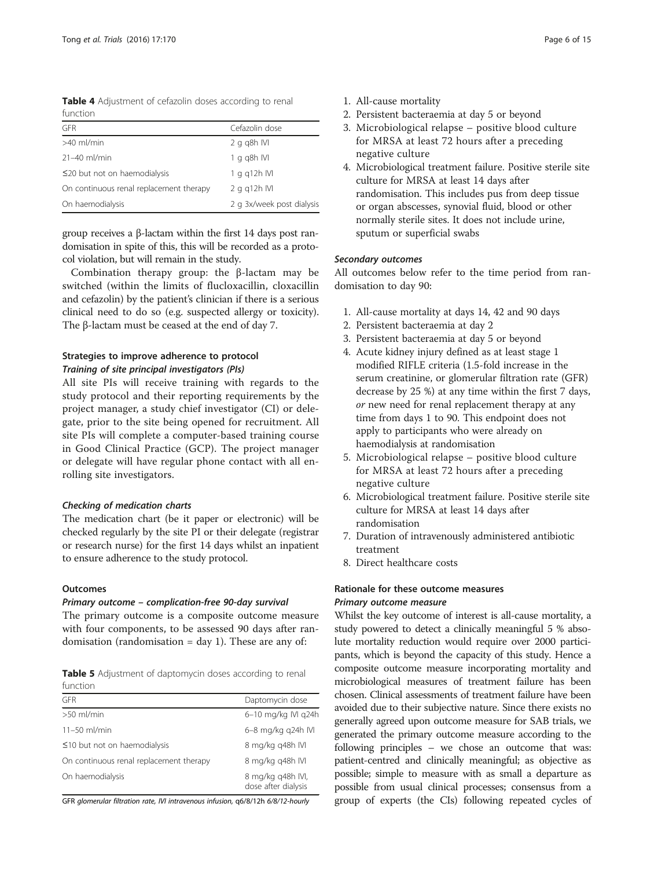<span id="page-5-0"></span>Table 4 Adjustment of cefazolin doses according to renal function

| GFR                                     | Cefazolin dose            |
|-----------------------------------------|---------------------------|
| $>40$ ml/min                            | $2$ g g8h $M$             |
| $21-40$ ml/min                          | 1 g g8h IVI               |
| $\leq$ 20 but not on haemodialysis      | 1 g g12h IVI              |
| On continuous renal replacement therapy | $2$ a a 12h IVI           |
| On haemodialysis                        | 2 g 3x/week post dialysis |

group receives a β-lactam within the first 14 days post randomisation in spite of this, this will be recorded as a protocol violation, but will remain in the study.

Combination therapy group: the β-lactam may be switched (within the limits of flucloxacillin, cloxacillin and cefazolin) by the patient's clinician if there is a serious clinical need to do so (e.g. suspected allergy or toxicity). The β-lactam must be ceased at the end of day 7.

# Strategies to improve adherence to protocol Training of site principal investigators (PIs)

All site PIs will receive training with regards to the study protocol and their reporting requirements by the project manager, a study chief investigator (CI) or delegate, prior to the site being opened for recruitment. All site PIs will complete a computer-based training course in Good Clinical Practice (GCP). The project manager or delegate will have regular phone contact with all enrolling site investigators.

# Checking of medication charts

The medication chart (be it paper or electronic) will be checked regularly by the site PI or their delegate (registrar or research nurse) for the first 14 days whilst an inpatient to ensure adherence to the study protocol.

### **Outcomes**

### Primary outcome – complication-free 90-day survival

The primary outcome is a composite outcome measure with four components, to be assessed 90 days after randomisation (randomisation  $=$  day 1). These are any of:

|          |  | Table 5 Adjustment of daptomycin doses according to renal |  |  |
|----------|--|-----------------------------------------------------------|--|--|
| function |  |                                                           |  |  |

| GFR                                     | Daptomycin dose                          |
|-----------------------------------------|------------------------------------------|
| $>50$ ml/min                            | 6-10 mg/kg IVI g24h                      |
| $11-50$ ml/min                          | 6-8 mg/kg g24h IVI                       |
| $\leq$ 10 but not on haemodialysis      | 8 mg/kg q48h IVI                         |
| On continuous renal replacement therapy | 8 mg/kg g48h IVI                         |
| On haemodialysis                        | 8 mg/kg g48h IVI,<br>dose after dialysis |

GFR glomerular filtration rate, IVI intravenous infusion, q6/8/12h 6/8/12-hourly

- 1. All-cause mortality
- 2. Persistent bacteraemia at day 5 or beyond
- 3. Microbiological relapse positive blood culture for MRSA at least 72 hours after a preceding negative culture
- 4. Microbiological treatment failure. Positive sterile site culture for MRSA at least 14 days after randomisation. This includes pus from deep tissue or organ abscesses, synovial fluid, blood or other normally sterile sites. It does not include urine, sputum or superficial swabs

### Secondary outcomes

All outcomes below refer to the time period from randomisation to day 90:

- 1. All-cause mortality at days 14, 42 and 90 days
- 2. Persistent bacteraemia at day 2
- 3. Persistent bacteraemia at day 5 or beyond
- 4. Acute kidney injury defined as at least stage 1 modified RIFLE criteria (1.5-fold increase in the serum creatinine, or glomerular filtration rate (GFR) decrease by 25 %) at any time within the first 7 days, or new need for renal replacement therapy at any time from days 1 to 90. This endpoint does not apply to participants who were already on haemodialysis at randomisation
- 5. Microbiological relapse positive blood culture for MRSA at least 72 hours after a preceding negative culture
- 6. Microbiological treatment failure. Positive sterile site culture for MRSA at least 14 days after randomisation
- 7. Duration of intravenously administered antibiotic treatment
- 8. Direct healthcare costs

# Rationale for these outcome measures Primary outcome measure

Whilst the key outcome of interest is all-cause mortality, a study powered to detect a clinically meaningful 5 % absolute mortality reduction would require over 2000 participants, which is beyond the capacity of this study. Hence a composite outcome measure incorporating mortality and microbiological measures of treatment failure has been chosen. Clinical assessments of treatment failure have been avoided due to their subjective nature. Since there exists no generally agreed upon outcome measure for SAB trials, we generated the primary outcome measure according to the following principles – we chose an outcome that was: patient-centred and clinically meaningful; as objective as possible; simple to measure with as small a departure as possible from usual clinical processes; consensus from a group of experts (the CIs) following repeated cycles of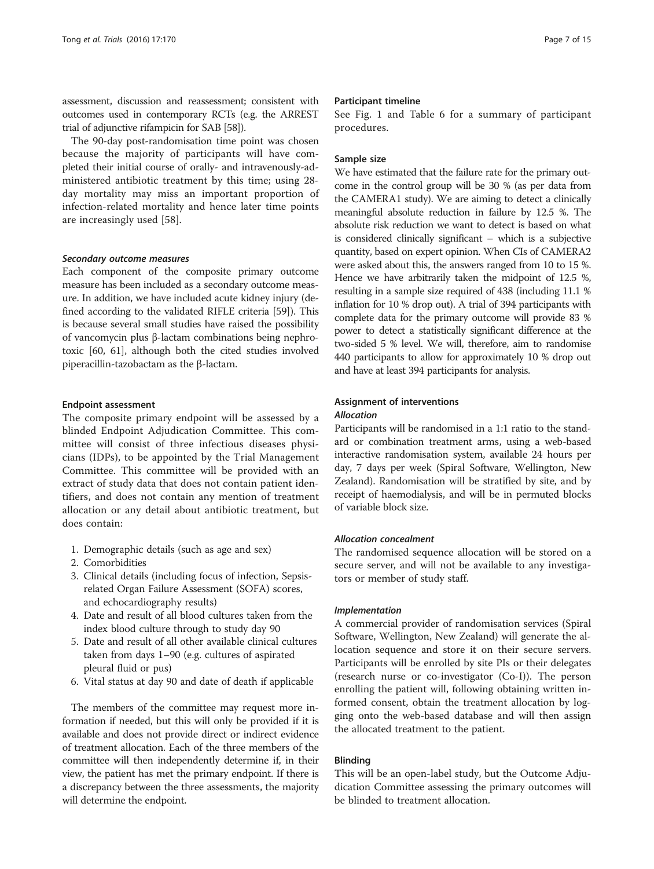assessment, discussion and reassessment; consistent with outcomes used in contemporary RCTs (e.g. the ARREST trial of adjunctive rifampicin for SAB [[58](#page-14-0)]).

The 90-day post-randomisation time point was chosen because the majority of participants will have completed their initial course of orally- and intravenously-administered antibiotic treatment by this time; using 28 day mortality may miss an important proportion of infection-related mortality and hence later time points are increasingly used [[58](#page-14-0)].

### Secondary outcome measures

Each component of the composite primary outcome measure has been included as a secondary outcome measure. In addition, we have included acute kidney injury (defined according to the validated RIFLE criteria [[59](#page-14-0)]). This is because several small studies have raised the possibility of vancomycin plus β-lactam combinations being nephrotoxic [\[60, 61](#page-14-0)], although both the cited studies involved piperacillin-tazobactam as the β-lactam.

### Endpoint assessment

The composite primary endpoint will be assessed by a blinded Endpoint Adjudication Committee. This committee will consist of three infectious diseases physicians (IDPs), to be appointed by the Trial Management Committee. This committee will be provided with an extract of study data that does not contain patient identifiers, and does not contain any mention of treatment allocation or any detail about antibiotic treatment, but does contain:

- 1. Demographic details (such as age and sex)
- 2. Comorbidities
- 3. Clinical details (including focus of infection, Sepsisrelated Organ Failure Assessment (SOFA) scores, and echocardiography results)
- 4. Date and result of all blood cultures taken from the index blood culture through to study day 90
- 5. Date and result of all other available clinical cultures taken from days 1–90 (e.g. cultures of aspirated pleural fluid or pus)
- 6. Vital status at day 90 and date of death if applicable

The members of the committee may request more information if needed, but this will only be provided if it is available and does not provide direct or indirect evidence of treatment allocation. Each of the three members of the committee will then independently determine if, in their view, the patient has met the primary endpoint. If there is a discrepancy between the three assessments, the majority will determine the endpoint.

### Participant timeline

See Fig. [1](#page-7-0) and Table [6](#page-8-0) for a summary of participant procedures.

### Sample size

We have estimated that the failure rate for the primary outcome in the control group will be 30 % (as per data from the CAMERA1 study). We are aiming to detect a clinically meaningful absolute reduction in failure by 12.5 %. The absolute risk reduction we want to detect is based on what is considered clinically significant – which is a subjective quantity, based on expert opinion. When CIs of CAMERA2 were asked about this, the answers ranged from 10 to 15 %. Hence we have arbitrarily taken the midpoint of 12.5 %, resulting in a sample size required of 438 (including 11.1 % inflation for 10 % drop out). A trial of 394 participants with complete data for the primary outcome will provide 83 % power to detect a statistically significant difference at the two-sided 5 % level. We will, therefore, aim to randomise 440 participants to allow for approximately 10 % drop out and have at least 394 participants for analysis.

# Assignment of interventions

# Allocation

Participants will be randomised in a 1:1 ratio to the standard or combination treatment arms, using a web-based interactive randomisation system, available 24 hours per day, 7 days per week (Spiral Software, Wellington, New Zealand). Randomisation will be stratified by site, and by receipt of haemodialysis, and will be in permuted blocks of variable block size.

# Allocation concealment

The randomised sequence allocation will be stored on a secure server, and will not be available to any investigators or member of study staff.

### Implementation

A commercial provider of randomisation services (Spiral Software, Wellington, New Zealand) will generate the allocation sequence and store it on their secure servers. Participants will be enrolled by site PIs or their delegates (research nurse or co-investigator (Co-I)). The person enrolling the patient will, following obtaining written informed consent, obtain the treatment allocation by logging onto the web-based database and will then assign the allocated treatment to the patient.

### Blinding

This will be an open-label study, but the Outcome Adjudication Committee assessing the primary outcomes will be blinded to treatment allocation.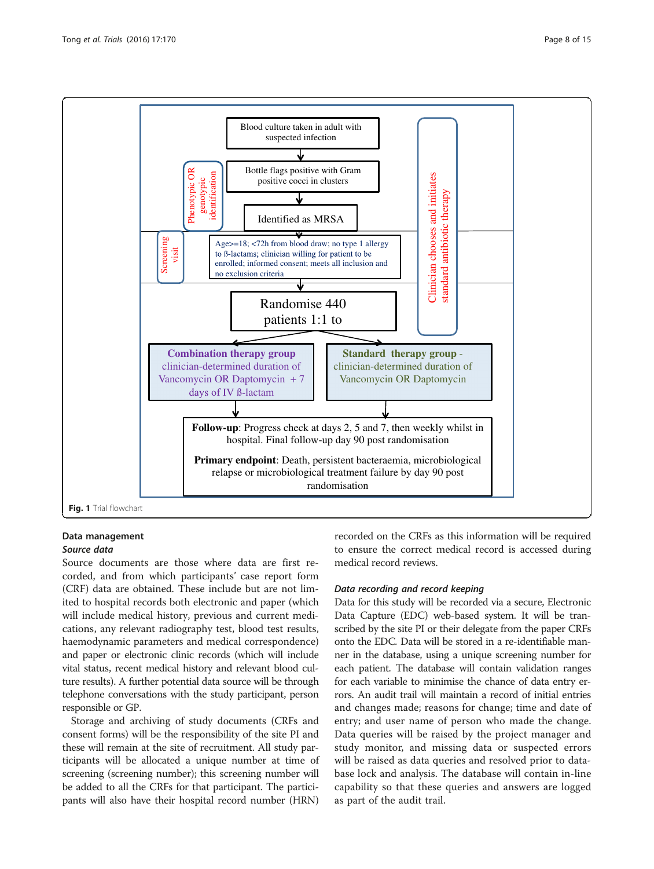<span id="page-7-0"></span>

# Data management

# Source data

Source documents are those where data are first recorded, and from which participants' case report form (CRF) data are obtained. These include but are not limited to hospital records both electronic and paper (which will include medical history, previous and current medications, any relevant radiography test, blood test results, haemodynamic parameters and medical correspondence) and paper or electronic clinic records (which will include vital status, recent medical history and relevant blood culture results). A further potential data source will be through telephone conversations with the study participant, person responsible or GP.

Storage and archiving of study documents (CRFs and consent forms) will be the responsibility of the site PI and these will remain at the site of recruitment. All study participants will be allocated a unique number at time of screening (screening number); this screening number will be added to all the CRFs for that participant. The participants will also have their hospital record number (HRN) recorded on the CRFs as this information will be required to ensure the correct medical record is accessed during medical record reviews.

# Data recording and record keeping

Data for this study will be recorded via a secure, Electronic Data Capture (EDC) web-based system. It will be transcribed by the site PI or their delegate from the paper CRFs onto the EDC. Data will be stored in a re-identifiable manner in the database, using a unique screening number for each patient. The database will contain validation ranges for each variable to minimise the chance of data entry errors. An audit trail will maintain a record of initial entries and changes made; reasons for change; time and date of entry; and user name of person who made the change. Data queries will be raised by the project manager and study monitor, and missing data or suspected errors will be raised as data queries and resolved prior to database lock and analysis. The database will contain in-line capability so that these queries and answers are logged as part of the audit trail.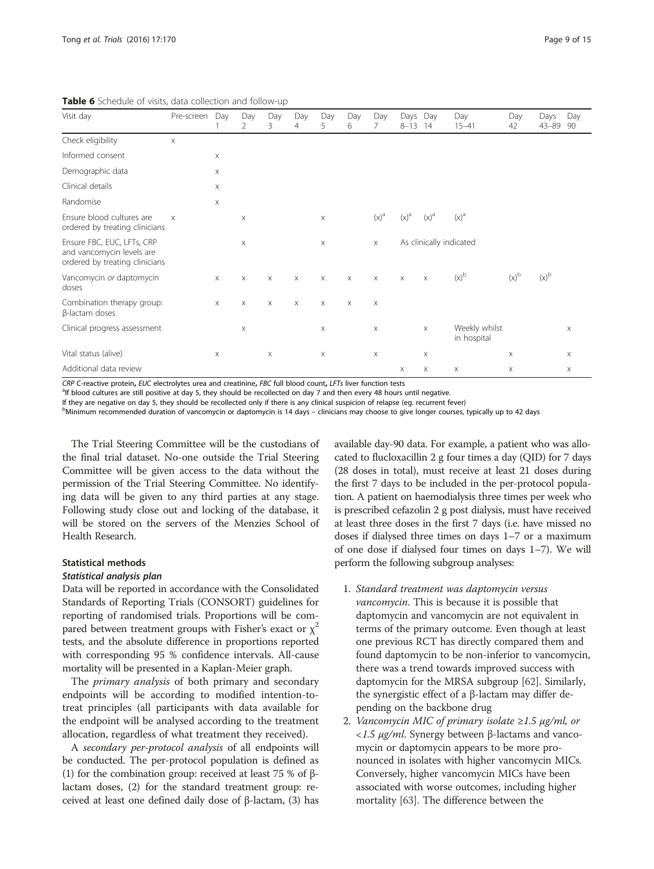<span id="page-8-0"></span>Table 6 Schedule of visits, data collection and follow-up

| Visit day                                                                                 | Pre-screen  | Day                       | Day<br>2    | Day<br>3    | Day<br>4 | Day<br>5.                 | Day<br>6     | Day<br>7    | Days Day<br>$8 - 13$ 14   |                         | Day<br>$15 - 41$             | Day<br>42 | Days<br>43-89 90 | Day |
|-------------------------------------------------------------------------------------------|-------------|---------------------------|-------------|-------------|----------|---------------------------|--------------|-------------|---------------------------|-------------------------|------------------------------|-----------|------------------|-----|
| Check eligibility                                                                         | $\mathsf X$ |                           |             |             |          |                           |              |             |                           |                         |                              |           |                  |     |
| Informed consent                                                                          |             | X                         |             |             |          |                           |              |             |                           |                         |                              |           |                  |     |
| Demographic data                                                                          |             | X                         |             |             |          |                           |              |             |                           |                         |                              |           |                  |     |
| Clinical details                                                                          |             | X                         |             |             |          |                           |              |             |                           |                         |                              |           |                  |     |
| Randomise                                                                                 |             | $\boldsymbol{\times}$     |             |             |          |                           |              |             |                           |                         |                              |           |                  |     |
| Ensure blood cultures are<br>ordered by treating clinicians                               | $\times$    |                           | $\mathsf X$ |             |          | X                         |              | $(x)^a$     | $(\mathsf{x})^\mathsf{a}$ | $(x)^a$                 | $(x)^a$                      |           |                  |     |
| Ensure FBC, EUC, LFTs, CRP<br>and vancomycin levels are<br>ordered by treating clinicians |             |                           | $\mathsf X$ |             |          | X                         |              | $\mathsf X$ |                           | As clinically indicated |                              |           |                  |     |
| Vancomycin or daptomycin<br>doses                                                         |             | $\times$                  | $\times$    | $\times$    | $\times$ | $\times$                  | $\mathsf{X}$ | $\times$    | $\times$                  | $\times$                | $(x)$ <sup>b</sup>           | $(x)^{b}$ | $(x)^{b}$        |     |
| Combination therapy group:<br>β-lactam doses                                              |             | $\times$                  | $\times$    | $\times$    | $\times$ | $\times$                  | $\times$     | $\mathsf X$ |                           |                         |                              |           |                  |     |
| Clinical progress assessment                                                              |             |                           | X           |             |          | X                         |              | $\mathsf X$ |                           | $\mathsf X$             | Weekly whilst<br>in hospital |           |                  | Χ   |
| Vital status (alive)                                                                      |             | $\boldsymbol{\mathsf{X}}$ |             | $\mathsf X$ |          | $\boldsymbol{\mathsf{X}}$ |              | $\mathsf X$ |                           | $\mathsf X$             |                              | X         |                  | Χ   |
| Additional data review                                                                    |             |                           |             |             |          |                           |              |             | X                         | $\times$                | X                            | X         |                  | X   |

CRP C-reactive protein, EUC electrolytes urea and creatinine, FBC full blood count, LFTs liver function tests

<sup>a</sup>lf blood cultures are still positive at day 5, they should be recollected on day 7 and then every 48 hours until negative.

If they are negative on day 5, they should be recollected only if there is any clinical suspicion of relapse (eg. recurrent fever)

b Minimum recommended duration of vancomycin or daptomycin is 14 days – clinicians may choose to give longer courses, typically up to 42 days

The Trial Steering Committee will be the custodians of the final trial dataset. No-one outside the Trial Steering Committee will be given access to the data without the permission of the Trial Steering Committee. No identifying data will be given to any third parties at any stage. Following study close out and locking of the database, it will be stored on the servers of the Menzies School of Health Research.

### Statistical methods

### Statistical analysis plan

Data will be reported in accordance with the Consolidated Standards of Reporting Trials (CONSORT) guidelines for reporting of randomised trials. Proportions will be compared between treatment groups with Fisher's exact or  $\chi^2$ tests, and the absolute difference in proportions reported with corresponding 95 % confidence intervals. All-cause mortality will be presented in a Kaplan-Meier graph.

The *primary analysis* of both primary and secondary endpoints will be according to modified intention-totreat principles (all participants with data available for the endpoint will be analysed according to the treatment allocation, regardless of what treatment they received).

A secondary per-protocol analysis of all endpoints will be conducted. The per-protocol population is defined as (1) for the combination group: received at least 75 % of βlactam doses, (2) for the standard treatment group: received at least one defined daily dose of β-lactam, (3) has available day-90 data. For example, a patient who was allocated to flucloxacillin 2 g four times a day (QID) for 7 days (28 doses in total), must receive at least 21 doses during the first 7 days to be included in the per-protocol population. A patient on haemodialysis three times per week who is prescribed cefazolin 2 g post dialysis, must have received at least three doses in the first 7 days (i.e. have missed no doses if dialysed three times on days 1–7 or a maximum of one dose if dialysed four times on days 1–7). We will perform the following subgroup analyses:

- 1. Standard treatment was daptomycin versus vancomycin. This is because it is possible that daptomycin and vancomycin are not equivalent in terms of the primary outcome. Even though at least one previous RCT has directly compared them and found daptomycin to be non-inferior to vancomycin, there was a trend towards improved success with daptomycin for the MRSA subgroup [\[62\]](#page-14-0). Similarly, the synergistic effect of a β-lactam may differ depending on the backbone drug
- 2. Vancomycin MIC of primary isolate  $\geq$ 1.5 μg/ml, or <1.5 μg/ml. Synergy between β-lactams and vancomycin or daptomycin appears to be more pronounced in isolates with higher vancomycin MICs. Conversely, higher vancomycin MICs have been associated with worse outcomes, including higher mortality [\[63\]](#page-14-0). The difference between the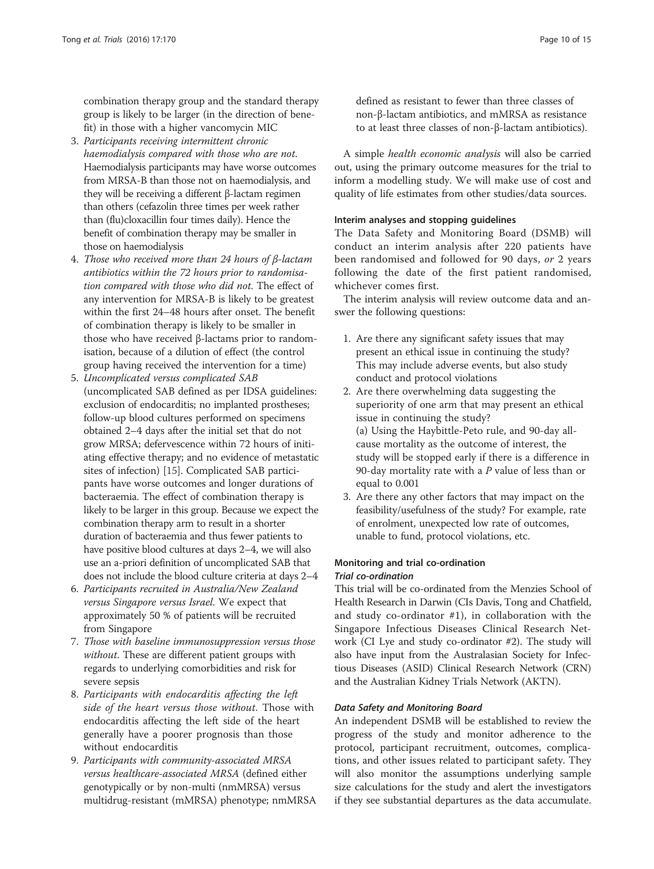combination therapy group and the standard therapy group is likely to be larger (in the direction of benefit) in those with a higher vancomycin MIC

- 3. Participants receiving intermittent chronic haemodialysis compared with those who are not. Haemodialysis participants may have worse outcomes from MRSA-B than those not on haemodialysis, and they will be receiving a different β-lactam regimen than others (cefazolin three times per week rather than (flu)cloxacillin four times daily). Hence the benefit of combination therapy may be smaller in those on haemodialysis
- 4. Those who received more than 24 hours of β-lactam antibiotics within the 72 hours prior to randomisation compared with those who did not. The effect of any intervention for MRSA-B is likely to be greatest within the first 24–48 hours after onset. The benefit of combination therapy is likely to be smaller in those who have received β-lactams prior to randomisation, because of a dilution of effect (the control group having received the intervention for a time)
- 5. Uncomplicated versus complicated SAB (uncomplicated SAB defined as per IDSA guidelines: exclusion of endocarditis; no implanted prostheses; follow-up blood cultures performed on specimens obtained 2–4 days after the initial set that do not grow MRSA; defervescence within 72 hours of initiating effective therapy; and no evidence of metastatic sites of infection) [[15](#page-13-0)]. Complicated SAB participants have worse outcomes and longer durations of bacteraemia. The effect of combination therapy is likely to be larger in this group. Because we expect the combination therapy arm to result in a shorter duration of bacteraemia and thus fewer patients to have positive blood cultures at days 2–4, we will also use an a-priori definition of uncomplicated SAB that does not include the blood culture criteria at days 2–4
- 6. Participants recruited in Australia/New Zealand versus Singapore versus Israel. We expect that approximately 50 % of patients will be recruited from Singapore
- 7. Those with baseline immunosuppression versus those without. These are different patient groups with regards to underlying comorbidities and risk for severe sepsis
- 8. Participants with endocarditis affecting the left side of the heart versus those without. Those with endocarditis affecting the left side of the heart generally have a poorer prognosis than those without endocarditis
- 9. Participants with community-associated MRSA versus healthcare-associated MRSA (defined either genotypically or by non-multi (nmMRSA) versus multidrug-resistant (mMRSA) phenotype; nmMRSA

defined as resistant to fewer than three classes of non-β-lactam antibiotics, and mMRSA as resistance to at least three classes of non-β-lactam antibiotics).

A simple health economic analysis will also be carried out, using the primary outcome measures for the trial to inform a modelling study. We will make use of cost and quality of life estimates from other studies/data sources.

# Interim analyses and stopping guidelines

The Data Safety and Monitoring Board (DSMB) will conduct an interim analysis after 220 patients have been randomised and followed for 90 days, or 2 years following the date of the first patient randomised, whichever comes first.

The interim analysis will review outcome data and answer the following questions:

- 1. Are there any significant safety issues that may present an ethical issue in continuing the study? This may include adverse events, but also study conduct and protocol violations
- 2. Are there overwhelming data suggesting the superiority of one arm that may present an ethical issue in continuing the study? (a) Using the Haybittle-Peto rule, and 90-day allcause mortality as the outcome of interest, the study will be stopped early if there is a difference in 90-day mortality rate with a  $P$  value of less than or equal to 0.001
- 3. Are there any other factors that may impact on the feasibility/usefulness of the study? For example, rate of enrolment, unexpected low rate of outcomes, unable to fund, protocol violations, etc.

# Monitoring and trial co-ordination Trial co-ordination

This trial will be co-ordinated from the Menzies School of Health Research in Darwin (CIs Davis, Tong and Chatfield, and study co-ordinator #1), in collaboration with the Singapore Infectious Diseases Clinical Research Network (CI Lye and study co-ordinator #2). The study will also have input from the Australasian Society for Infectious Diseases (ASID) Clinical Research Network (CRN) and the Australian Kidney Trials Network (AKTN).

### Data Safety and Monitoring Board

An independent DSMB will be established to review the progress of the study and monitor adherence to the protocol, participant recruitment, outcomes, complications, and other issues related to participant safety. They will also monitor the assumptions underlying sample size calculations for the study and alert the investigators if they see substantial departures as the data accumulate.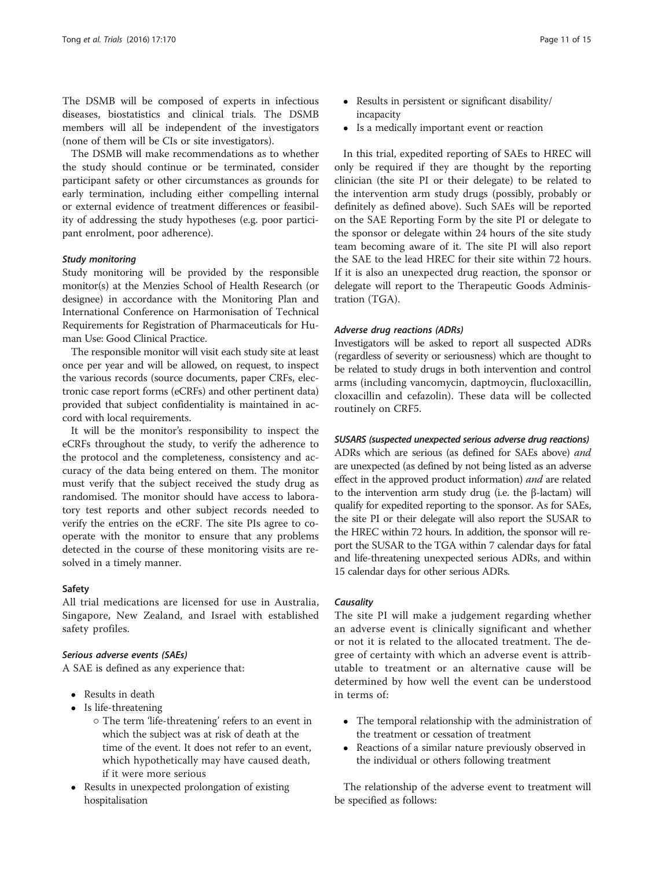The DSMB will be composed of experts in infectious diseases, biostatistics and clinical trials. The DSMB members will all be independent of the investigators (none of them will be CIs or site investigators).

The DSMB will make recommendations as to whether the study should continue or be terminated, consider participant safety or other circumstances as grounds for early termination, including either compelling internal or external evidence of treatment differences or feasibility of addressing the study hypotheses (e.g. poor participant enrolment, poor adherence).

# Study monitoring

Study monitoring will be provided by the responsible monitor(s) at the Menzies School of Health Research (or designee) in accordance with the Monitoring Plan and International Conference on Harmonisation of Technical Requirements for Registration of Pharmaceuticals for Human Use: Good Clinical Practice.

The responsible monitor will visit each study site at least once per year and will be allowed, on request, to inspect the various records (source documents, paper CRFs, electronic case report forms (eCRFs) and other pertinent data) provided that subject confidentiality is maintained in accord with local requirements.

It will be the monitor's responsibility to inspect the eCRFs throughout the study, to verify the adherence to the protocol and the completeness, consistency and accuracy of the data being entered on them. The monitor must verify that the subject received the study drug as randomised. The monitor should have access to laboratory test reports and other subject records needed to verify the entries on the eCRF. The site PIs agree to cooperate with the monitor to ensure that any problems detected in the course of these monitoring visits are resolved in a timely manner.

# Safety

All trial medications are licensed for use in Australia, Singapore, New Zealand, and Israel with established safety profiles.

### Serious adverse events (SAEs)

A SAE is defined as any experience that:

- Results in death
- Is life-threatening
	- The term 'life-threatening' refers to an event in which the subject was at risk of death at the time of the event. It does not refer to an event, which hypothetically may have caused death, if it were more serious
- Results in unexpected prolongation of existing hospitalisation
- Results in persistent or significant disability/ incapacity
- Is a medically important event or reaction

In this trial, expedited reporting of SAEs to HREC will only be required if they are thought by the reporting clinician (the site PI or their delegate) to be related to the intervention arm study drugs (possibly, probably or definitely as defined above). Such SAEs will be reported on the SAE Reporting Form by the site PI or delegate to the sponsor or delegate within 24 hours of the site study team becoming aware of it. The site PI will also report the SAE to the lead HREC for their site within 72 hours. If it is also an unexpected drug reaction, the sponsor or delegate will report to the Therapeutic Goods Administration (TGA).

# Adverse drug reactions (ADRs)

Investigators will be asked to report all suspected ADRs (regardless of severity or seriousness) which are thought to be related to study drugs in both intervention and control arms (including vancomycin, daptmoycin, flucloxacillin, cloxacillin and cefazolin). These data will be collected routinely on CRF5.

# SUSARS (suspected unexpected serious adverse drug reactions)

ADRs which are serious (as defined for SAEs above) and are unexpected (as defined by not being listed as an adverse effect in the approved product information) and are related to the intervention arm study drug (i.e. the β-lactam) will qualify for expedited reporting to the sponsor. As for SAEs, the site PI or their delegate will also report the SUSAR to the HREC within 72 hours. In addition, the sponsor will report the SUSAR to the TGA within 7 calendar days for fatal and life-threatening unexpected serious ADRs, and within 15 calendar days for other serious ADRs.

### **Causality**

The site PI will make a judgement regarding whether an adverse event is clinically significant and whether or not it is related to the allocated treatment. The degree of certainty with which an adverse event is attributable to treatment or an alternative cause will be determined by how well the event can be understood in terms of:

- The temporal relationship with the administration of the treatment or cessation of treatment
- Reactions of a similar nature previously observed in the individual or others following treatment

The relationship of the adverse event to treatment will be specified as follows: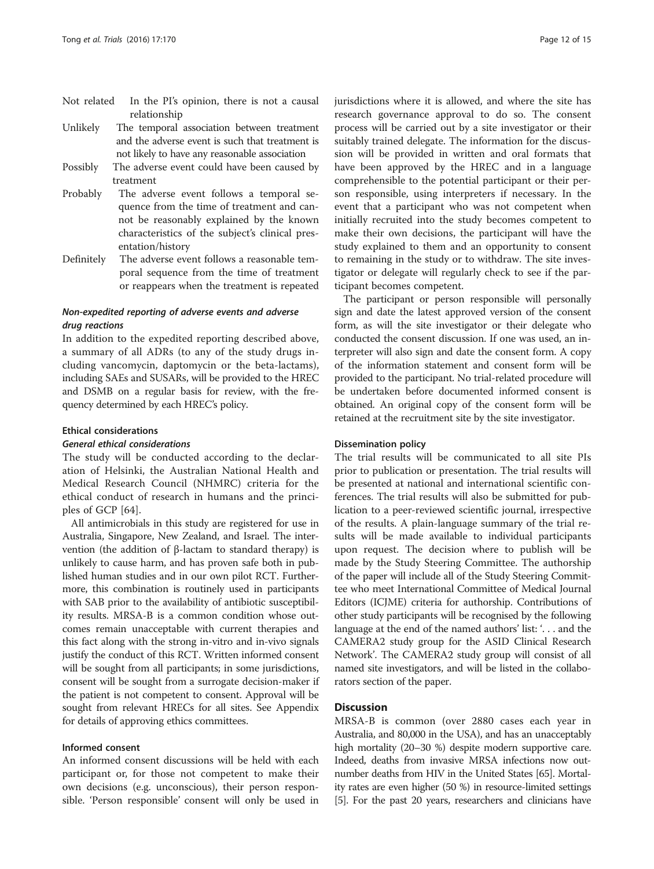|          | Not related In the PI's opinion, there is not a causal |
|----------|--------------------------------------------------------|
|          | relationship                                           |
| Unlikely | The temporal association between treatment             |
|          | and the adverse event is such that treatment is        |
|          | not likely to have any reasonable association          |
| Possibly | The adverse event could have been caused by            |
|          | treatment                                              |
| Probably | The adverse event follows a temporal se-               |
|          | guange from the time of treatment and can              |

- quence from the time of treatment and cannot be reasonably explained by the known characteristics of the subject's clinical presentation/history
- Definitely The adverse event follows a reasonable temporal sequence from the time of treatment or reappears when the treatment is repeated

# Non-expedited reporting of adverse events and adverse drug reactions

In addition to the expedited reporting described above, a summary of all ADRs (to any of the study drugs including vancomycin, daptomycin or the beta-lactams), including SAEs and SUSARs, will be provided to the HREC and DSMB on a regular basis for review, with the frequency determined by each HREC's policy.

# Ethical considerations

# General ethical considerations

The study will be conducted according to the declaration of Helsinki, the Australian National Health and Medical Research Council (NHMRC) criteria for the ethical conduct of research in humans and the principles of GCP [\[64](#page-14-0)].

All antimicrobials in this study are registered for use in Australia, Singapore, New Zealand, and Israel. The intervention (the addition of β-lactam to standard therapy) is unlikely to cause harm, and has proven safe both in published human studies and in our own pilot RCT. Furthermore, this combination is routinely used in participants with SAB prior to the availability of antibiotic susceptibility results. MRSA-B is a common condition whose outcomes remain unacceptable with current therapies and this fact along with the strong in-vitro and in-vivo signals justify the conduct of this RCT. Written informed consent will be sought from all participants; in some jurisdictions, consent will be sought from a surrogate decision-maker if the patient is not competent to consent. Approval will be sought from relevant HRECs for all sites. See [Appendix](#page-12-0) for details of approving ethics committees.

# Informed consent

An informed consent discussions will be held with each participant or, for those not competent to make their own decisions (e.g. unconscious), their person responsible. 'Person responsible' consent will only be used in jurisdictions where it is allowed, and where the site has research governance approval to do so. The consent process will be carried out by a site investigator or their suitably trained delegate. The information for the discussion will be provided in written and oral formats that have been approved by the HREC and in a language comprehensible to the potential participant or their person responsible, using interpreters if necessary. In the event that a participant who was not competent when initially recruited into the study becomes competent to make their own decisions, the participant will have the study explained to them and an opportunity to consent to remaining in the study or to withdraw. The site investigator or delegate will regularly check to see if the participant becomes competent.

The participant or person responsible will personally sign and date the latest approved version of the consent form, as will the site investigator or their delegate who conducted the consent discussion. If one was used, an interpreter will also sign and date the consent form. A copy of the information statement and consent form will be provided to the participant. No trial-related procedure will be undertaken before documented informed consent is obtained. An original copy of the consent form will be retained at the recruitment site by the site investigator.

### Dissemination policy

The trial results will be communicated to all site PIs prior to publication or presentation. The trial results will be presented at national and international scientific conferences. The trial results will also be submitted for publication to a peer-reviewed scientific journal, irrespective of the results. A plain-language summary of the trial results will be made available to individual participants upon request. The decision where to publish will be made by the Study Steering Committee. The authorship of the paper will include all of the Study Steering Committee who meet International Committee of Medical Journal Editors (ICJME) criteria for authorship. Contributions of other study participants will be recognised by the following language at the end of the named authors' list: '. . . and the CAMERA2 study group for the ASID Clinical Research Network'. The CAMERA2 study group will consist of all named site investigators, and will be listed in the collaborators section of the paper.

# **Discussion**

MRSA-B is common (over 2880 cases each year in Australia, and 80,000 in the USA), and has an unacceptably high mortality (20–30 %) despite modern supportive care. Indeed, deaths from invasive MRSA infections now outnumber deaths from HIV in the United States [\[65](#page-14-0)]. Mortality rates are even higher (50 %) in resource-limited settings [[5](#page-13-0)]. For the past 20 years, researchers and clinicians have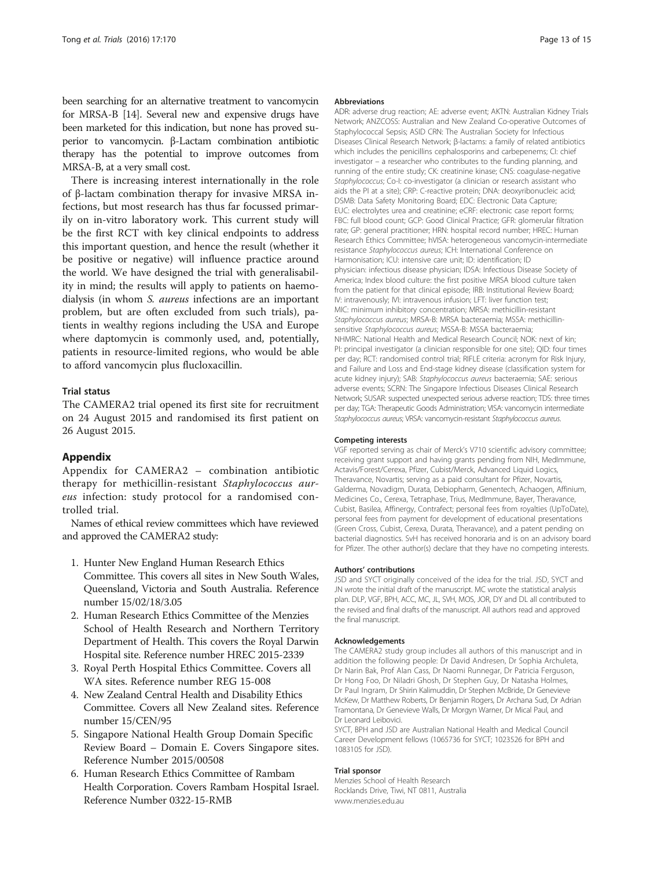<span id="page-12-0"></span>been searching for an alternative treatment to vancomycin for MRSA-B [[14](#page-13-0)]. Several new and expensive drugs have been marketed for this indication, but none has proved superior to vancomycin. β-Lactam combination antibiotic therapy has the potential to improve outcomes from MRSA-B, at a very small cost.

There is increasing interest internationally in the role of β-lactam combination therapy for invasive MRSA infections, but most research has thus far focussed primarily on in-vitro laboratory work. This current study will be the first RCT with key clinical endpoints to address this important question, and hence the result (whether it be positive or negative) will influence practice around the world. We have designed the trial with generalisability in mind; the results will apply to patients on haemodialysis (in whom S. aureus infections are an important problem, but are often excluded from such trials), patients in wealthy regions including the USA and Europe where daptomycin is commonly used, and, potentially, patients in resource-limited regions, who would be able to afford vancomycin plus flucloxacillin.

### Trial status

The CAMERA2 trial opened its first site for recruitment on 24 August 2015 and randomised its first patient on 26 August 2015.

### Appendix

Appendix for CAMERA2 – combination antibiotic therapy for methicillin-resistant Staphylococcus aureus infection: study protocol for a randomised controlled trial.

Names of ethical review committees which have reviewed and approved the CAMERA2 study:

- 1. Hunter New England Human Research Ethics Committee. This covers all sites in New South Wales, Queensland, Victoria and South Australia. Reference number 15/02/18/3.05
- 2. Human Research Ethics Committee of the Menzies School of Health Research and Northern Territory Department of Health. This covers the Royal Darwin Hospital site. Reference number HREC 2015-2339
- 3. Royal Perth Hospital Ethics Committee. Covers all WA sites. Reference number REG 15-008
- 4. New Zealand Central Health and Disability Ethics Committee. Covers all New Zealand sites. Reference number 15/CEN/95
- 5. Singapore National Health Group Domain Specific Review Board – Domain E. Covers Singapore sites. Reference Number 2015/00508
- 6. Human Research Ethics Committee of Rambam Health Corporation. Covers Rambam Hospital Israel. Reference Number 0322-15-RMB

### Abbreviations

ADR: adverse drug reaction; AE: adverse event; AKTN: Australian Kidney Trials Network; ANZCOSS: Australian and New Zealand Co-operative Outcomes of Staphylococcal Sepsis; ASID CRN: The Australian Society for Infectious Diseases Clinical Research Network; β-lactams: a family of related antibiotics which includes the penicillins cephalosporins and carbepenems; CI: chief investigator – a researcher who contributes to the funding planning, and running of the entire study; CK: creatinine kinase; CNS: coagulase-negative Staphylococcus; Co-I: co-investigator (a clinician or research assistant who aids the PI at a site); CRP: C-reactive protein; DNA: deoxyribonucleic acid; DSMB: Data Safety Monitoring Board; EDC: Electronic Data Capture; EUC: electrolytes urea and creatinine; eCRF: electronic case report forms; FBC: full blood count; GCP: Good Clinical Practice; GFR: glomerular filtration rate; GP: general practitioner; HRN: hospital record number; HREC: Human Research Ethics Committee; hVISA: heterogeneous vancomycin-intermediate resistance Staphylococcus aureus; ICH: International Conference on Harmonisation; ICU: intensive care unit; ID: identification; ID physician: infectious disease physician; IDSA: Infectious Disease Society of America; Index blood culture: the first positive MRSA blood culture taken from the patient for that clinical episode; IRB: Institutional Review Board; IV: intravenously; IVI: intravenous infusion; LFT: liver function test; MIC: minimum inhibitory concentration; MRSA: methicillin-resistant Staphylococcus aureus; MRSA-B: MRSA bacteraemia; MSSA: methicillinsensitive Staphylococcus aureus; MSSA-B: MSSA bacteraemia; NHMRC: National Health and Medical Research Council; NOK: next of kin; PI: principal investigator (a clinician responsible for one site); QID: four times per day; RCT: randomised control trial; RIFLE criteria: acronym for Risk Injury, and Failure and Loss and End-stage kidney disease (classification system for acute kidney injury); SAB: Staphylococcus aureus bacteraemia; SAE: serious adverse events; SCRN: The Singapore Infectious Diseases Clinical Research Network; SUSAR: suspected unexpected serious adverse reaction; TDS: three times per day; TGA: Therapeutic Goods Administration; VISA: vancomycin intermediate Staphylococcus aureus; VRSA: vancomycin-resistant Staphylococcus aureus.

### Competing interests

VGF reported serving as chair of Merck's V710 scientific advisory committee; receiving grant support and having grants pending from NIH, MedImmune, Actavis/Forest/Cerexa, Pfizer, Cubist/Merck, Advanced Liquid Logics, Theravance, Novartis; serving as a paid consultant for Pfizer, Novartis, Galderma, Novadigm, Durata, Debiopharm, Genentech, Achaogen, Affinium, Medicines Co., Cerexa, Tetraphase, Trius, MedImmune, Bayer, Theravance, Cubist, Basilea, Affinergy, Contrafect; personal fees from royalties (UpToDate), personal fees from payment for development of educational presentations (Green Cross, Cubist, Cerexa, Durata, Theravance), and a patent pending on bacterial diagnostics. SvH has received honoraria and is on an advisory board for Pfizer. The other author(s) declare that they have no competing interests.

### Authors' contributions

JSD and SYCT originally conceived of the idea for the trial. JSD, SYCT and JN wrote the initial draft of the manuscript. MC wrote the statistical analysis plan. DLP, VGF, BPH, ACC, MC, JL, SVH, MOS, JOR, DY and DL all contributed to the revised and final drafts of the manuscript. All authors read and approved the final manuscript.

### Acknowledgements

The CAMERA2 study group includes all authors of this manuscript and in addition the following people: Dr David Andresen, Dr Sophia Archuleta, Dr Narin Bak, Prof Alan Cass, Dr Naomi Runnegar, Dr Patricia Ferguson, Dr Hong Foo, Dr Niladri Ghosh, Dr Stephen Guy, Dr Natasha Holmes, Dr Paul Ingram, Dr Shirin Kalimuddin, Dr Stephen McBride, Dr Genevieve McKew, Dr Matthew Roberts, Dr Benjamin Rogers, Dr Archana Sud, Dr Adrian Tramontana, Dr Genevieve Walls, Dr Morgyn Warner, Dr Mical Paul, and Dr Leonard Leibovici.

SYCT, BPH and JSD are Australian National Health and Medical Council Career Development fellows (1065736 for SYCT; 1023526 for BPH and 1083105 for JSD).

### Trial sponsor

Menzies School of Health Research Rocklands Drive, Tiwi, NT 0811, Australia [www.menzies.edu.au](http://www.menzies.edu.au)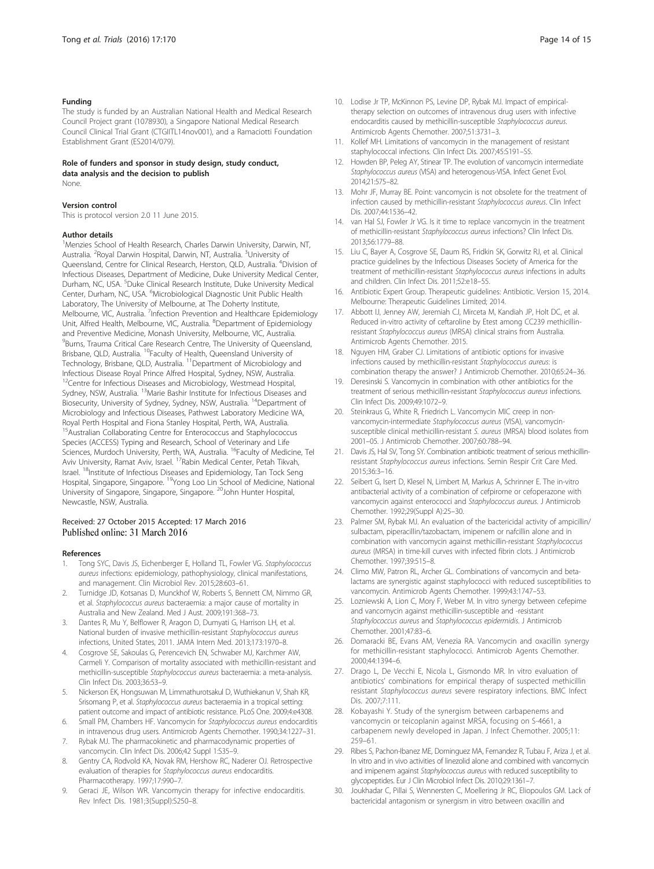### <span id="page-13-0"></span>Funding

The study is funded by an Australian National Health and Medical Research Council Project grant (1078930), a Singapore National Medical Research Council Clinical Trial Grant (CTGIITL14nov001), and a Ramaciotti Foundation Establishment Grant (ES2014/079).

#### Role of funders and sponsor in study design, study conduct, data analysis and the decision to publish None.

#### Version control

This is protocol version 2.0 11 June 2015.

### Author details

<sup>1</sup>Menzies School of Health Research, Charles Darwin University, Darwin, NT, Australia. <sup>2</sup>Royal Darwin Hospital, Darwin, NT, Australia. <sup>3</sup>University of Queensland, Centre for Clinical Research, Herston, QLD, Australia. <sup>4</sup>Division of Infectious Diseases, Department of Medicine, Duke University Medical Center, Durham, NC, USA. <sup>5</sup>Duke Clinical Research Institute, Duke University Medical Center, Durham, NC, USA. <sup>6</sup>Microbiological Diagnostic Unit Public Health Laboratory, The University of Melbourne, at The Doherty Institute, Melbourne, VIC, Australia. <sup>7</sup>Infection Prevention and Healthcare Epidemiology Unit, Alfred Health, Melbourne, VIC, Australia. <sup>8</sup>Department of Epidemiology and Preventive Medicine, Monash University, Melbourne, VIC, Australia. <sup>9</sup>Burns, Trauma Critical Care Research Centre, The University of Queensland, Brisbane, QLD, Australia. 10Faculty of Health, Queensland University of Technology, Brisbane, QLD, Australia. <sup>11</sup> Department of Microbiology and Infectious Disease Royal Prince Alfred Hospital, Sydney, NSW, Australia. <sup>12</sup>Centre for Infectious Diseases and Microbiology, Westmead Hospital, Sydney, NSW, Australia. <sup>13</sup>Marie Bashir Institute for Infectious Diseases and Biosecurity, University of Sydney, Sydney, NSW, Australia. 14Department of Microbiology and Infectious Diseases, Pathwest Laboratory Medicine WA, Royal Perth Hospital and Fiona Stanley Hospital, Perth, WA, Australia. 15Australian Collaborating Centre for Enterococcus and Staphylococcus Species (ACCESS) Typing and Research, School of Veterinary and Life Sciences, Murdoch University, Perth, WA, Australia. <sup>16</sup>Faculty of Medicine, Tel Aviv University, Ramat Aviv, Israel. <sup>17</sup>Rabin Medical Center, Petah Tikvah, Israel. <sup>18</sup>Institute of Infectious Diseases and Epidemiology, Tan Tock Seng Hospital, Singapore, Singapore. 19Yong Loo Lin School of Medicine, National University of Singapore, Singapore, Singapore. <sup>20</sup>John Hunter Hospital, Newcastle, NSW, Australia.

### Received: 27 October 2015 Accepted: 17 March 2016 Published online: 31 March 2016

### References

- 1. Tong SYC, Davis JS, Eichenberger E, Holland TL, Fowler VG. Staphylococcus aureus infections: epidemiology, pathophysiology, clinical manifestations, and management. Clin Microbiol Rev. 2015;28:603–61.
- 2. Turnidge JD, Kotsanas D, Munckhof W, Roberts S, Bennett CM, Nimmo GR, et al. Staphylococcus aureus bacteraemia: a major cause of mortality in Australia and New Zealand. Med J Aust. 2009;191:368–73.
- Dantes R, Mu Y, Belflower R, Aragon D, Dumyati G, Harrison LH, et al. National burden of invasive methicillin-resistant Staphylococcus aureus infections, United States, 2011. JAMA Intern Med. 2013;173:1970–8.
- 4. Cosgrove SE, Sakoulas G, Perencevich EN, Schwaber MJ, Karchmer AW, Carmeli Y. Comparison of mortality associated with methicillin-resistant and methicillin-susceptible Staphylococcus aureus bacteraemia: a meta-analysis. Clin Infect Dis. 2003;36:53–9.
- 5. Nickerson EK, Hongsuwan M, Limmathurotsakul D, Wuthiekanun V, Shah KR, Srisomang P, et al. Staphylococcus aureus bacteraemia in a tropical setting: patient outcome and impact of antibiotic resistance. PLoS One. 2009;4:e4308.
- 6. Small PM, Chambers HF. Vancomycin for Staphylococcus aureus endocarditis in intravenous drug users. Antimicrob Agents Chemother. 1990;34:1227–31.
- 7. Rybak MJ. The pharmacokinetic and pharmacodynamic properties of vancomycin. Clin Infect Dis. 2006;42 Suppl 1:S35–9.
- Gentry CA, Rodvold KA, Novak RM, Hershow RC, Naderer OJ. Retrospective evaluation of therapies for Staphylococcus aureus endocarditis. Pharmacotherapy. 1997;17:990–7.
- Geraci JE, Wilson WR. Vancomycin therapy for infective endocarditis. Rev Infect Dis. 1981;3(Suppl):S250–8.
- 10. Lodise Jr TP, McKinnon PS, Levine DP, Rybak MJ. Impact of empiricaltherapy selection on outcomes of intravenous drug users with infective endocarditis caused by methicillin-susceptible Staphylococcus aureus. Antimicrob Agents Chemother. 2007;51:3731–3.
- 11. Kollef MH. Limitations of vancomycin in the management of resistant staphylococcal infections. Clin Infect Dis. 2007;45:S191–S5.
- 12. Howden BP, Peleg AY, Stinear TP. The evolution of vancomycin intermediate Staphylococcus aureus (VISA) and heterogenous-VISA. Infect Genet Evol. 2014;21:575–82.
- 13. Mohr JF, Murray BE. Point: vancomycin is not obsolete for the treatment of infection caused by methicillin-resistant Staphylococcus aureus. Clin Infect Dis. 2007;44:1536–42.
- 14. van Hal SJ, Fowler Jr VG. Is it time to replace vancomycin in the treatment of methicillin-resistant Staphylococcus aureus infections? Clin Infect Dis. 2013;56:1779–88.
- 15. Liu C, Bayer A, Cosgrove SE, Daum RS, Fridkin SK, Gorwitz RJ, et al. Clinical practice guidelines by the Infectious Diseases Society of America for the treatment of methicillin-resistant Staphylococcus aureus infections in adults and children. Clin Infect Dis. 2011;52:e18–55.
- 16. Antibiotic Expert Group. Therapeutic guidelines: Antibiotic. Version 15, 2014. Melbourne: Therapeutic Guidelines Limited; 2014.
- 17. Abbott IJ, Jenney AW, Jeremiah CJ, Mirceta M, Kandiah JP, Holt DC, et al. Reduced in-vitro activity of ceftaroline by Etest among CC239 methicillinresistant Staphylococcus aureus (MRSA) clinical strains from Australia. Antimicrob Agents Chemother. 2015.
- 18. Nguyen HM, Graber CJ. Limitations of antibiotic options for invasive infections caused by methicillin-resistant Staphylococcus aureus: is combination therapy the answer? J Antimicrob Chemother. 2010;65:24–36.
- 19. Deresinski S. Vancomycin in combination with other antibiotics for the treatment of serious methicillin-resistant Staphylococcus aureus infections. Clin Infect Dis. 2009;49:1072–9.
- 20. Steinkraus G, White R, Friedrich L. Vancomycin MIC creep in nonvancomycin-intermediate Staphylococcus aureus (VISA), vancomycinsusceptible clinical methicillin-resistant S. aureus (MRSA) blood isolates from 2001–05. J Antimicrob Chemother. 2007;60:788–94.
- 21. Davis JS, Hal SV, Tong SY. Combination antibiotic treatment of serious methicillinresistant Staphylococcus aureus infections. Semin Respir Crit Care Med. 2015;36:3–16.
- 22. Seibert G, Isert D, Klesel N, Limbert M, Markus A, Schrinner E. The in-vitro antibacterial activity of a combination of cefpirome or cefoperazone with vancomycin against enterococci and Staphylococcus aureus. J Antimicrob Chemother. 1992;29(Suppl A):25–30.
- 23. Palmer SM, Rybak MJ. An evaluation of the bactericidal activity of ampicillin/ sulbactam, piperacillin/tazobactam, imipenem or nafcillin alone and in combination with vancomycin against methicillin-resistant Staphylococcus aureus (MRSA) in time-kill curves with infected fibrin clots. J Antimicrob Chemother. 1997;39:515–8.
- 24. Climo MW, Patron RL, Archer GL. Combinations of vancomycin and betalactams are synergistic against staphylococci with reduced susceptibilities to vancomycin. Antimicrob Agents Chemother. 1999;43:1747–53.
- 25. Lozniewski A, Lion C, Mory F, Weber M. In vitro synergy between cefepime and vancomycin against methicillin-susceptible and -resistant Staphylococcus aureus and Staphylococcus epidermidis. J Antimicrob Chemother. 2001;47:83–6.
- 26. Domaracki BE, Evans AM, Venezia RA. Vancomycin and oxacillin synergy for methicillin-resistant staphylococci. Antimicrob Agents Chemother. 2000;44:1394–6.
- 27. Drago L, De Vecchi E, Nicola L, Gismondo MR. In vitro evaluation of antibiotics' combinations for empirical therapy of suspected methicillin resistant Staphylococcus aureus severe respiratory infections. BMC Infect Dis. 2007;7:111.
- 28. Kobayashi Y. Study of the synergism between carbapenems and vancomycin or teicoplanin against MRSA, focusing on S-4661, a carbapenem newly developed in Japan. J Infect Chemother. 2005;11: 259–61.
- 29. Ribes S, Pachon-Ibanez ME, Dominguez MA, Fernandez R, Tubau F, Ariza J, et al. In vitro and in vivo activities of linezolid alone and combined with vancomycin and imipenem against Staphylococcus aureus with reduced susceptibility to glycopeptides. Eur J Clin Microbiol Infect Dis. 2010;29:1361–7.
- 30. Joukhadar C, Pillai S, Wennersten C, Moellering Jr RC, Eliopoulos GM. Lack of bactericidal antagonism or synergism in vitro between oxacillin and